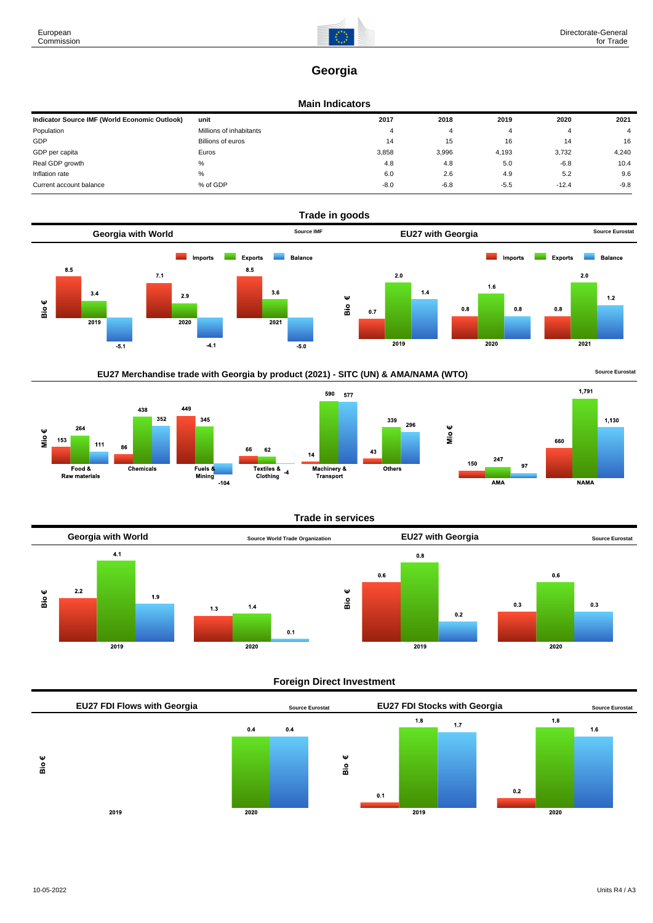

# **Georgia**

### **Main Indicators**

| Indicator Source IMF (World Economic Outlook) | unit                    | 2017   | 2018   | 2019   | 2020    | 2021           |
|-----------------------------------------------|-------------------------|--------|--------|--------|---------|----------------|
| Population                                    | Millions of inhabitants |        |        |        | 4       | $\overline{4}$ |
| GDP                                           | Billions of euros       | 14     | 15     | 16     | 14      | 16             |
| GDP per capita                                | Euros                   | 3,858  | 3,996  | 4,193  | 3,732   | 4,240          |
| Real GDP growth                               | %                       | 4.8    | 4.8    | 5.0    | $-6.8$  | 10.4           |
| Inflation rate                                | %                       | 6.0    | 2.6    | 4.9    | 5.2     | 9.6            |
| Current account balance                       | % of GDP                | $-8.0$ | $-6.8$ | $-5.5$ | $-12.4$ | $-9.8$         |



EU27 Merchandise trade with Georgia by product (2021) - SITC (UN) & AMA/NAMA (WTO) **Source Eurostat** 









# **Foreign Direct Investment**